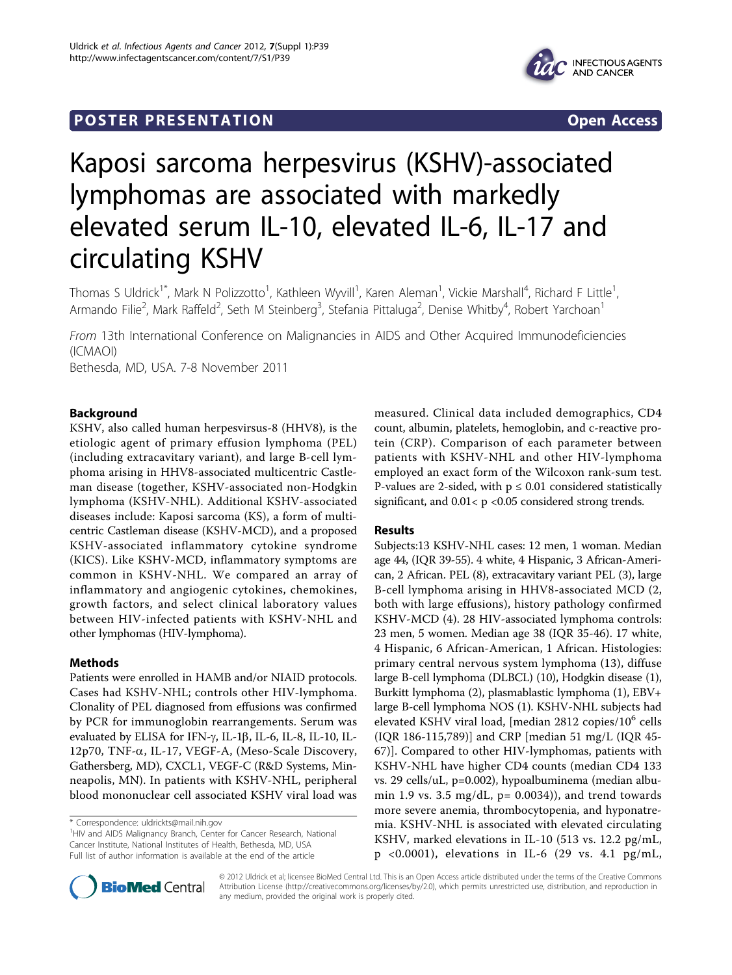# **POSTER PRESENTATION CONSUMING ACCESS**



# Kaposi sarcoma herpesvirus (KSHV)-associated lymphomas are associated with markedly elevated serum IL-10, elevated IL-6, IL-17 and circulating KSHV

Thomas S Uldrick<sup>1\*</sup>, Mark N Polizzotto<sup>1</sup>, Kathleen Wyvill<sup>1</sup>, Karen Aleman<sup>1</sup>, Vickie Marshall<sup>4</sup>, Richard F Little<sup>1</sup> , Armando Filie<sup>2</sup>, Mark Raffeld<sup>2</sup>, Seth M Steinberg<sup>3</sup>, Stefania Pittaluga<sup>2</sup>, Denise Whitby<sup>4</sup>, Robert Yarchoan<sup>1</sup>

From 13th International Conference on Malignancies in AIDS and Other Acquired Immunodeficiencies (ICMAOI)

Bethesda, MD, USA. 7-8 November 2011

## Background

KSHV, also called human herpesvirsus-8 (HHV8), is the etiologic agent of primary effusion lymphoma (PEL) (including extracavitary variant), and large B-cell lymphoma arising in HHV8-associated multicentric Castleman disease (together, KSHV-associated non-Hodgkin lymphoma (KSHV-NHL). Additional KSHV-associated diseases include: Kaposi sarcoma (KS), a form of multicentric Castleman disease (KSHV-MCD), and a proposed KSHV-associated inflammatory cytokine syndrome (KICS). Like KSHV-MCD, inflammatory symptoms are common in KSHV-NHL. We compared an array of inflammatory and angiogenic cytokines, chemokines, growth factors, and select clinical laboratory values between HIV-infected patients with KSHV-NHL and other lymphomas (HIV-lymphoma).

#### Methods

Patients were enrolled in HAMB and/or NIAID protocols. Cases had KSHV-NHL; controls other HIV-lymphoma. Clonality of PEL diagnosed from effusions was confirmed by PCR for immunoglobin rearrangements. Serum was evaluated by ELISA for IFN- $\gamma$ , IL-1 $\beta$ , IL-6, IL-8, IL-10, IL-12p70, TNF-a, IL-17, VEGF-A, (Meso-Scale Discovery, Gathersberg, MD), CXCL1, VEGF-C (R&D Systems, Minneapolis, MN). In patients with KSHV-NHL, peripheral blood mononuclear cell associated KSHV viral load was measured. Clinical data included demographics, CD4 count, albumin, platelets, hemoglobin, and c-reactive protein (CRP). Comparison of each parameter between patients with KSHV-NHL and other HIV-lymphoma employed an exact form of the Wilcoxon rank-sum test. P-values are 2-sided, with  $p \leq 0.01$  considered statistically significant, and  $0.01 < p < 0.05$  considered strong trends.

#### Results

Subjects:13 KSHV-NHL cases: 12 men, 1 woman. Median age 44, (IQR 39-55). 4 white, 4 Hispanic, 3 African-American, 2 African. PEL (8), extracavitary variant PEL (3), large B-cell lymphoma arising in HHV8-associated MCD (2, both with large effusions), history pathology confirmed KSHV-MCD (4). 28 HIV-associated lymphoma controls: 23 men, 5 women. Median age 38 (IQR 35-46). 17 white, 4 Hispanic, 6 African-American, 1 African. Histologies: primary central nervous system lymphoma (13), diffuse large B-cell lymphoma (DLBCL) (10), Hodgkin disease (1), Burkitt lymphoma (2), plasmablastic lymphoma (1), EBV+ large B-cell lymphoma NOS (1). KSHV-NHL subjects had elevated KSHV viral load, [median  $2812$  copies/ $10^6$  cells (IQR 186-115,789)] and CRP [median 51 mg/L (IQR 45- 67)]. Compared to other HIV-lymphomas, patients with KSHV-NHL have higher CD4 counts (median CD4 133 vs. 29 cells/uL, p=0.002), hypoalbuminema (median albumin 1.9 vs. 3.5 mg/dL,  $p = 0.0034$ ), and trend towards more severe anemia, thrombocytopenia, and hyponatremia. KSHV-NHL is associated with elevated circulating KSHV, marked elevations in IL-10 (513 vs. 12.2 pg/mL, p <0.0001), elevations in IL-6 (29 vs. 4.1 pg/mL,



© 2012 Uldrick et al; licensee BioMed Central Ltd. This is an Open Access article distributed under the terms of the Creative Commons Attribution License [\(http://creativecommons.org/licenses/by/2.0](http://creativecommons.org/licenses/by/2.0)), which permits unrestricted use, distribution, and reproduction in any medium, provided the original work is properly cited.

<sup>\*</sup> Correspondence: [uldrickts@mail.nih.gov](mailto:uldrickts@mail.nih.gov)

<sup>&</sup>lt;sup>1</sup>HIV and AIDS Malignancy Branch, Center for Cancer Research, National Cancer Institute, National Institutes of Health, Bethesda, MD, USA Full list of author information is available at the end of the article